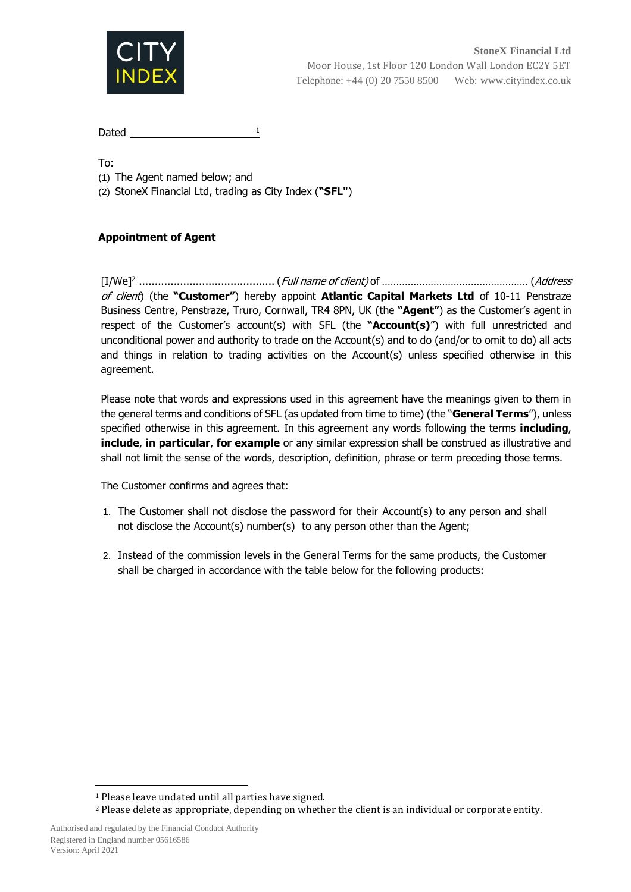

Dated  $\frac{1}{\sqrt{1-\frac{1}{2}}}\left\lceil \frac{1}{2}\right\rceil$ 

To:

(1) The Agent named below; and

(2) StoneX Financial Ltd, trading as City Index (**"SFL"**)

## **Appointment of Agent**

 $[{\rm I/We}]^2$  ………………………………………………....(*Full name of client)* of …………………………………………………. (*Address* of client) (the **"Customer"**) hereby appoint **Atlantic Capital Markets Ltd** of 10-11 Penstraze Business Centre, Penstraze, Truro, Cornwall, TR4 8PN, UK (the **"Agent"**) as the Customer's agent in respect of the Customer's account(s) with SFL (the **"Account(s)**") with full unrestricted and unconditional power and authority to trade on the Account(s) and to do (and/or to omit to do) all acts and things in relation to trading activities on the Account(s) unless specified otherwise in this agreement.

Please note that words and expressions used in this agreement have the meanings given to them in the general terms and conditions of SFL (as updated from time to time) (the "**General Terms**"), unless specified otherwise in this agreement. In this agreement any words following the terms **including**, **include**, **in particular**, **for example** or any similar expression shall be construed as illustrative and shall not limit the sense of the words, description, definition, phrase or term preceding those terms.

The Customer confirms and agrees that:

- 1. The Customer shall not disclose the password for their Account(s) to any person and shall not disclose the Account(s) number(s) to any person other than the Agent;
- 2. Instead of the commission levels in the General Terms for the same products, the Customer shall be charged in accordance with the table below for the following products:

 $\overline{\phantom{a}}$ <sup>1</sup> Please leave undated until all parties have signed.

<sup>2</sup> Please delete as appropriate, depending on whether the client is an individual or corporate entity.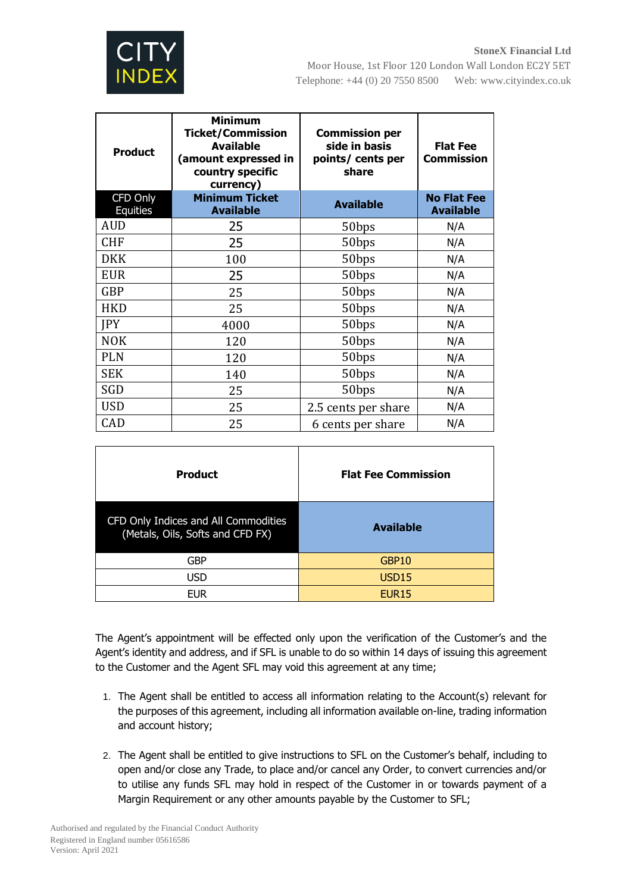

Moor House, 1st Floor 120 London Wall London EC2Y 5ET Telephone: +44 (0) 20 7550 8500 Web: www.cityindex.co.uk

| <b>Product</b>       | <b>Minimum</b><br><b>Ticket/Commission</b><br><b>Available</b><br>(amount expressed in<br>country specific<br>currency) | <b>Commission per</b><br>side in basis<br>points/ cents per<br>share | <b>Flat Fee</b><br><b>Commission</b>   |
|----------------------|-------------------------------------------------------------------------------------------------------------------------|----------------------------------------------------------------------|----------------------------------------|
| CFD Only<br>Equities | <b>Minimum Ticket</b><br><b>Available</b>                                                                               | <b>Available</b>                                                     | <b>No Flat Fee</b><br><b>Available</b> |
| AUD                  | 25                                                                                                                      | 50bps                                                                | N/A                                    |
| <b>CHF</b>           | 25                                                                                                                      | 50bps                                                                | N/A                                    |
| <b>DKK</b>           | 100                                                                                                                     | 50bps                                                                | N/A                                    |
| <b>EUR</b>           | 25                                                                                                                      | 50bps                                                                | N/A                                    |
| <b>GBP</b>           | 25                                                                                                                      | 50bps                                                                | N/A                                    |
| <b>HKD</b>           | 25                                                                                                                      | 50bps                                                                | N/A                                    |
| <b>JPY</b>           | 4000                                                                                                                    | 50bps                                                                | N/A                                    |
| <b>NOK</b>           | 120                                                                                                                     | 50bps                                                                | N/A                                    |
| <b>PLN</b>           | 120                                                                                                                     | 50bps                                                                | N/A                                    |
| <b>SEK</b>           | 140                                                                                                                     | 50bps                                                                | N/A                                    |
| SGD                  | 25                                                                                                                      | 50bps                                                                | N/A                                    |
| <b>USD</b>           | 25                                                                                                                      | 2.5 cents per share                                                  | N/A                                    |
| CAD                  | 25                                                                                                                      | 6 cents per share                                                    | N/A                                    |

| <b>Product</b>                                                           | <b>Flat Fee Commission</b> |
|--------------------------------------------------------------------------|----------------------------|
| CFD Only Indices and All Commodities<br>(Metals, Oils, Softs and CFD FX) | <b>Available</b>           |
| GBP                                                                      | GBP10                      |
| usd                                                                      | USD <sub>15</sub>          |
| <b>EUR</b>                                                               | <b>EUR15</b>               |

The Agent's appointment will be effected only upon the verification of the Customer's and the Agent's identity and address, and if SFL is unable to do so within 14 days of issuing this agreement to the Customer and the Agent SFL may void this agreement at any time;

- 1. The Agent shall be entitled to access all information relating to the Account(s) relevant for the purposes of this agreement, including all information available on-line, trading information and account history;
- 2. The Agent shall be entitled to give instructions to SFL on the Customer's behalf, including to open and/or close any Trade, to place and/or cancel any Order, to convert currencies and/or to utilise any funds SFL may hold in respect of the Customer in or towards payment of a Margin Requirement or any other amounts payable by the Customer to SFL;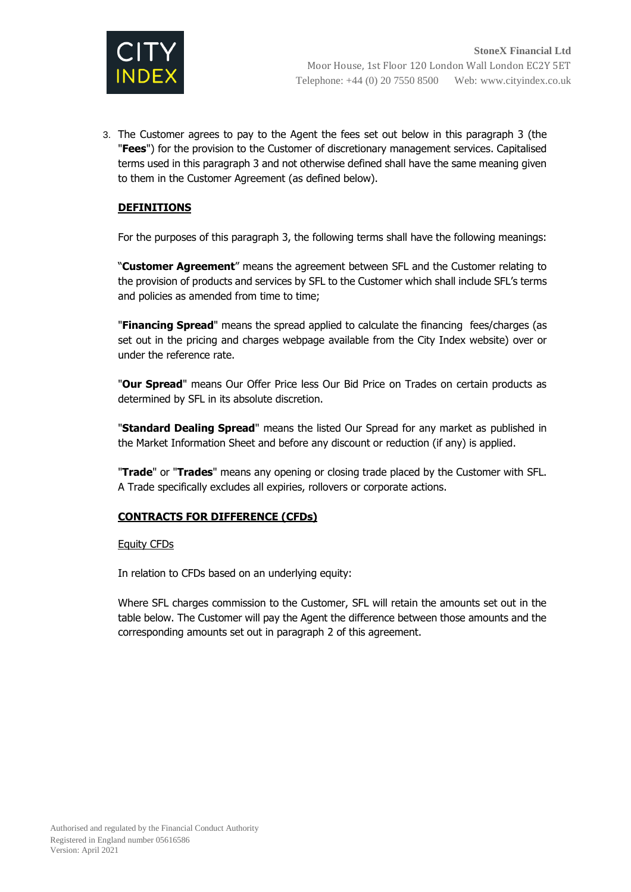

3. The Customer agrees to pay to the Agent the fees set out below in this paragraph 3 (the "**Fees**") for the provision to the Customer of discretionary management services. Capitalised terms used in this paragraph 3 and not otherwise defined shall have the same meaning given to them in the Customer Agreement (as defined below).

# **DEFINITIONS**

For the purposes of this paragraph 3, the following terms shall have the following meanings:

"**Customer Agreement**" means the agreement between SFL and the Customer relating to the provision of products and services by SFL to the Customer which shall include SFL's terms and policies as amended from time to time;

"**Financing Spread**" means the spread applied to calculate the financing fees/charges (as set out in the pricing and charges webpage available from the City Index website) over or under the reference rate.

"**Our Spread**" means Our Offer Price less Our Bid Price on Trades on certain products as determined by SFL in its absolute discretion.

"**Standard Dealing Spread**" means the listed Our Spread for any market as published in the Market Information Sheet and before any discount or reduction (if any) is applied.

"**Trade**" or "**Trades**" means any opening or closing trade placed by the Customer with SFL. A Trade specifically excludes all expiries, rollovers or corporate actions.

### **CONTRACTS FOR DIFFERENCE (CFDs)**

Equity CFDs

In relation to CFDs based on an underlying equity:

Where SFL charges commission to the Customer, SFL will retain the amounts set out in the table below. The Customer will pay the Agent the difference between those amounts and the corresponding amounts set out in paragraph 2 of this agreement.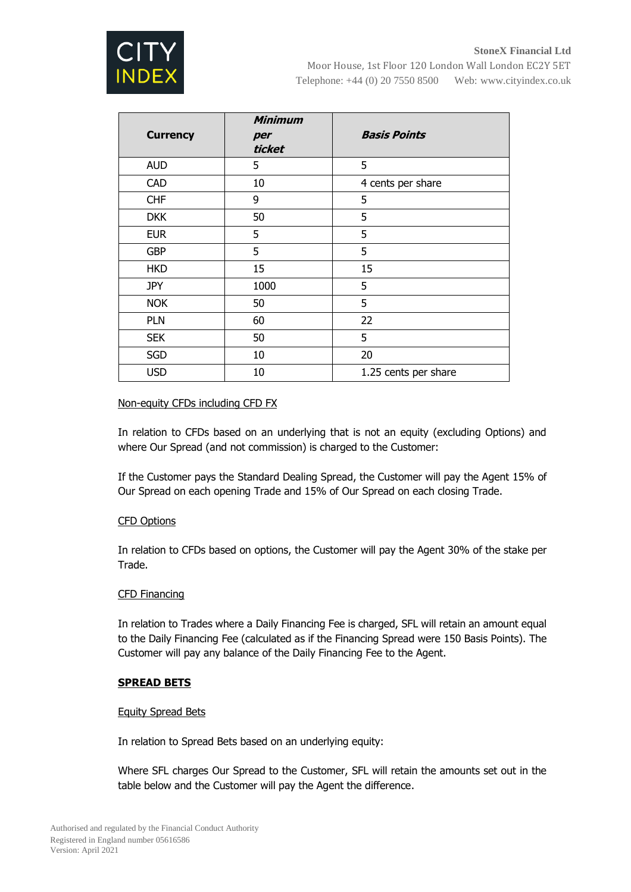

|                 | <b>Minimum</b> |                      |
|-----------------|----------------|----------------------|
| <b>Currency</b> | per            | <b>Basis Points</b>  |
|                 | ticket         |                      |
| <b>AUD</b>      | 5              | 5                    |
| <b>CAD</b>      | 10             | 4 cents per share    |
| <b>CHF</b>      | 9              | 5                    |
| <b>DKK</b>      | 50             | 5                    |
| <b>EUR</b>      | 5              | 5                    |
| <b>GBP</b>      | 5              | 5                    |
| <b>HKD</b>      | 15             | 15                   |
| <b>JPY</b>      | 1000           | 5                    |
| <b>NOK</b>      | 50             | 5                    |
| <b>PLN</b>      | 60             | 22                   |
| <b>SEK</b>      | 50             | 5                    |
| <b>SGD</b>      | 10             | 20                   |
| <b>USD</b>      | 10             | 1.25 cents per share |

## Non-equity CFDs including CFD FX

In relation to CFDs based on an underlying that is not an equity (excluding Options) and where Our Spread (and not commission) is charged to the Customer:

If the Customer pays the Standard Dealing Spread, the Customer will pay the Agent 15% of Our Spread on each opening Trade and 15% of Our Spread on each closing Trade.

### CFD Options

In relation to CFDs based on options, the Customer will pay the Agent 30% of the stake per Trade.

### CFD Financing

In relation to Trades where a Daily Financing Fee is charged, SFL will retain an amount equal to the Daily Financing Fee (calculated as if the Financing Spread were 150 Basis Points). The Customer will pay any balance of the Daily Financing Fee to the Agent.

### **SPREAD BETS**

### Equity Spread Bets

In relation to Spread Bets based on an underlying equity:

Where SFL charges Our Spread to the Customer, SFL will retain the amounts set out in the table below and the Customer will pay the Agent the difference.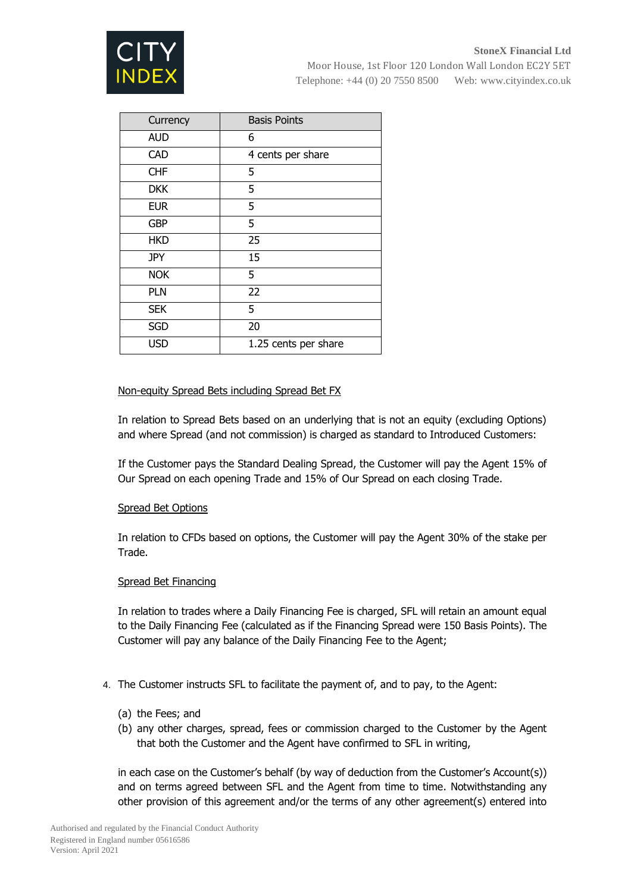

| Currency   | <b>Basis Points</b>  |
|------------|----------------------|
| <b>AUD</b> | 6                    |
| <b>CAD</b> | 4 cents per share    |
| <b>CHF</b> | 5                    |
| <b>DKK</b> | 5                    |
| <b>EUR</b> | 5                    |
| <b>GBP</b> | 5                    |
| <b>HKD</b> | 25                   |
| <b>JPY</b> | 15                   |
| <b>NOK</b> | 5                    |
| <b>PLN</b> | 22                   |
| <b>SEK</b> | 5                    |
| <b>SGD</b> | 20                   |
| <b>USD</b> | 1.25 cents per share |

## Non-equity Spread Bets including Spread Bet FX

In relation to Spread Bets based on an underlying that is not an equity (excluding Options) and where Spread (and not commission) is charged as standard to Introduced Customers:

If the Customer pays the Standard Dealing Spread, the Customer will pay the Agent 15% of Our Spread on each opening Trade and 15% of Our Spread on each closing Trade.

### Spread Bet Options

In relation to CFDs based on options, the Customer will pay the Agent 30% of the stake per Trade.

### Spread Bet Financing

In relation to trades where a Daily Financing Fee is charged, SFL will retain an amount equal to the Daily Financing Fee (calculated as if the Financing Spread were 150 Basis Points). The Customer will pay any balance of the Daily Financing Fee to the Agent;

- 4. The Customer instructs SFL to facilitate the payment of, and to pay, to the Agent:
	- (a) the Fees; and
	- (b) any other charges, spread, fees or commission charged to the Customer by the Agent that both the Customer and the Agent have confirmed to SFL in writing,

in each case on the Customer's behalf (by way of deduction from the Customer's Account(s)) and on terms agreed between SFL and the Agent from time to time. Notwithstanding any other provision of this agreement and/or the terms of any other agreement(s) entered into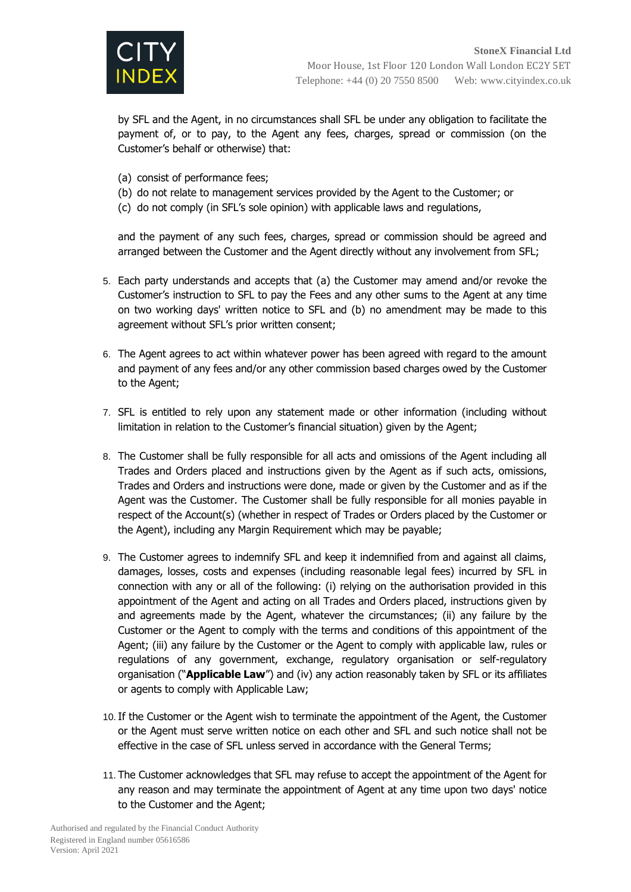

by SFL and the Agent, in no circumstances shall SFL be under any obligation to facilitate the payment of, or to pay, to the Agent any fees, charges, spread or commission (on the Customer's behalf or otherwise) that:

- (a) consist of performance fees;
- (b) do not relate to management services provided by the Agent to the Customer; or
- (c) do not comply (in SFL's sole opinion) with applicable laws and regulations,

and the payment of any such fees, charges, spread or commission should be agreed and arranged between the Customer and the Agent directly without any involvement from SFL;

- 5. Each party understands and accepts that (a) the Customer may amend and/or revoke the Customer's instruction to SFL to pay the Fees and any other sums to the Agent at any time on two working days' written notice to SFL and (b) no amendment may be made to this agreement without SFL's prior written consent;
- 6. The Agent agrees to act within whatever power has been agreed with regard to the amount and payment of any fees and/or any other commission based charges owed by the Customer to the Agent;
- 7. SFL is entitled to rely upon any statement made or other information (including without limitation in relation to the Customer's financial situation) given by the Agent;
- 8. The Customer shall be fully responsible for all acts and omissions of the Agent including all Trades and Orders placed and instructions given by the Agent as if such acts, omissions, Trades and Orders and instructions were done, made or given by the Customer and as if the Agent was the Customer. The Customer shall be fully responsible for all monies payable in respect of the Account(s) (whether in respect of Trades or Orders placed by the Customer or the Agent), including any Margin Requirement which may be payable;
- 9. The Customer agrees to indemnify SFL and keep it indemnified from and against all claims, damages, losses, costs and expenses (including reasonable legal fees) incurred by SFL in connection with any or all of the following: (i) relying on the authorisation provided in this appointment of the Agent and acting on all Trades and Orders placed, instructions given by and agreements made by the Agent, whatever the circumstances; (ii) any failure by the Customer or the Agent to comply with the terms and conditions of this appointment of the Agent; (iii) any failure by the Customer or the Agent to comply with applicable law, rules or regulations of any government, exchange, regulatory organisation or self-regulatory organisation ("**Applicable Law**") and (iv) any action reasonably taken by SFL or its affiliates or agents to comply with Applicable Law;
- 10.If the Customer or the Agent wish to terminate the appointment of the Agent, the Customer or the Agent must serve written notice on each other and SFL and such notice shall not be effective in the case of SFL unless served in accordance with the General Terms;
- 11. The Customer acknowledges that SFL may refuse to accept the appointment of the Agent for any reason and may terminate the appointment of Agent at any time upon two days' notice to the Customer and the Agent;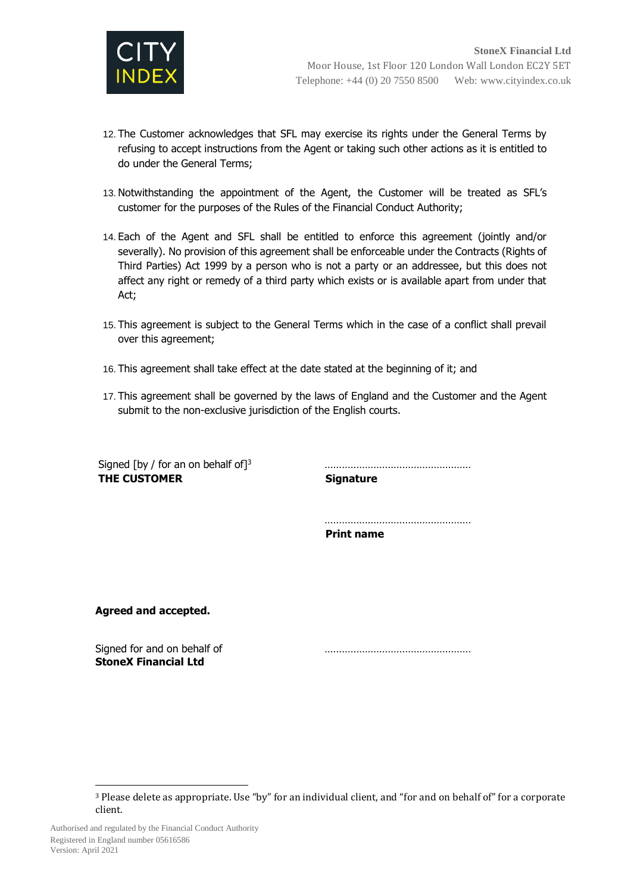

- 12. The Customer acknowledges that SFL may exercise its rights under the General Terms by refusing to accept instructions from the Agent or taking such other actions as it is entitled to do under the General Terms;
- 13. Notwithstanding the appointment of the Agent, the Customer will be treated as SFL's customer for the purposes of the Rules of the Financial Conduct Authority;
- 14. Each of the Agent and SFL shall be entitled to enforce this agreement (jointly and/or severally). No provision of this agreement shall be enforceable under the Contracts (Rights of Third Parties) Act 1999 by a person who is not a party or an addressee, but this does not affect any right or remedy of a third party which exists or is available apart from under that Act;
- 15. This agreement is subject to the General Terms which in the case of a conflict shall prevail over this agreement;
- 16. This agreement shall take effect at the date stated at the beginning of it; and
- 17. This agreement shall be governed by the laws of England and the Customer and the Agent submit to the non-exclusive jurisdiction of the English courts.

Signed [by / for an on behalf of]<sup>3</sup> …………………………………………… **THE CUSTOMER Signature**

…………………………………………… **Print name**

**Agreed and accepted.**

Signed for and on behalf of manufacture and support in the support of the support of  $\sim$ **StoneX Financial Ltd**

 $\overline{\phantom{a}}$ 

<sup>3</sup> Please delete as appropriate. Use "by" for an individual client, and "for and on behalf of" for a corporate client.